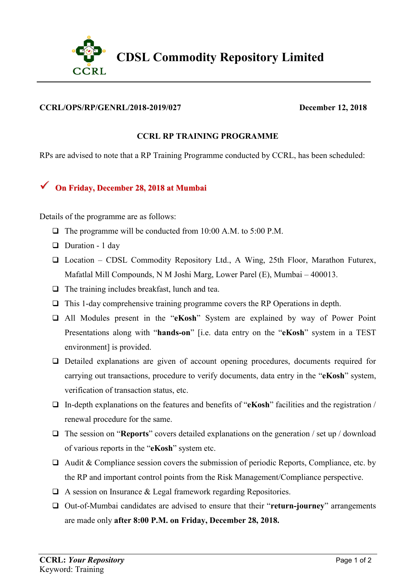

## **CCRL/OPS/RP/GENRL/2018-2019/027 December 12, 2018**

## **CCRL RP TRAINING PROGRAMME**

RPs are advised to note that a RP Training Programme conducted by CCRL, has been scheduled:

## **On Friday, December 28, <sup>2018</sup> at Mumbai**

Details of the programme are as follows:

- $\Box$  The programme will be conducted from 10:00 A.M. to 5:00 P.M.
- $\Box$  Duration 1 day
- $\Box$  Location CDSL Commodity Repository Ltd., A Wing, 25th Floor, Marathon Futurex, Mafatlal Mill Compounds, N M Joshi Marg, Lower Parel (E), Mumbai – 400013.
- $\Box$  The training includes breakfast, lunch and tea.
- $\Box$  This 1-day comprehensive training programme covers the RP Operations in depth.
- All Modules present in the "**eKosh**" System are explained by way of Power Point Presentations along with "**hands-on**" [i.e. data entry on the "**eKosh**" system in a TEST environment] is provided.
- Detailed explanations are given of account opening procedures, documents required for carrying out transactions, procedure to verify documents, data entry in the "**eKosh**" system, verification of transaction status, etc.
- In-depth explanations on the features and benefits of "**eKosh**" facilities and the registration / renewal procedure for the same.
- The session on "**Reports**" covers detailed explanations on the generation / set up / download of various reports in the "**eKosh**" system etc.
- $\Box$  Audit & Compliance session covers the submission of periodic Reports, Compliance, etc. by the RP and important control points from the Risk Management/Compliance perspective.
- $\Box$  A session on Insurance & Legal framework regarding Repositories.
- Out-of-Mumbai candidates are advised to ensure that their "**return-journey**" arrangements are made only **after 8:00 P.M. on Friday, December 28, 2018.**